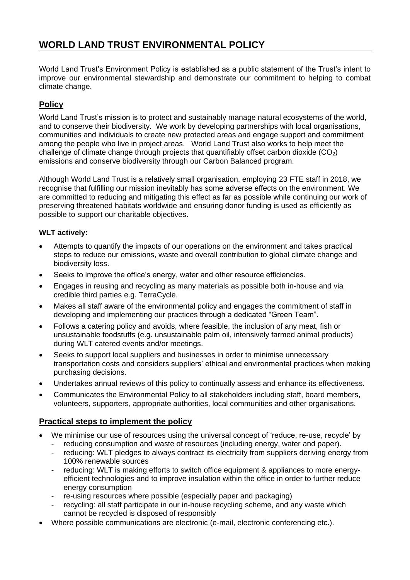## **WORLD LAND TRUST ENVIRONMENTAL POLICY**

World Land Trust's Environment Policy is established as a public statement of the Trust's intent to improve our environmental stewardship and demonstrate our commitment to helping to combat climate change.

## **Policy**

World Land Trust's mission is to protect and sustainably manage natural ecosystems of the world, and to conserve their biodiversity. We work by developing partnerships with local organisations, communities and individuals to create new protected areas and engage support and commitment among the people who live in project areas. World Land Trust also works to help meet the challenge of climate change through projects that quantifiably offset carbon dioxide  $(CO<sub>2</sub>)$ emissions and conserve biodiversity through our Carbon Balanced program.

Although World Land Trust is a relatively small organisation, employing 23 FTE staff in 2018, we recognise that fulfilling our mission inevitably has some adverse effects on the environment. We are committed to reducing and mitigating this effect as far as possible while continuing our work of preserving threatened habitats worldwide and ensuring donor funding is used as efficiently as possible to support our charitable objectives.

## **WLT actively:**

- Attempts to quantify the impacts of our operations on the environment and takes practical steps to reduce our emissions, waste and overall contribution to global climate change and biodiversity loss.
- Seeks to improve the office's energy, water and other resource efficiencies.
- Engages in reusing and recycling as many materials as possible both in-house and via credible third parties e.g. TerraCycle.
- Makes all staff aware of the environmental policy and engages the commitment of staff in developing and implementing our practices through a dedicated "Green Team".
- Follows a catering policy and avoids, where feasible, the inclusion of any meat, fish or unsustainable foodstuffs (e.g. unsustainable palm oil, intensively farmed animal products) during WLT catered events and/or meetings.
- Seeks to support local suppliers and businesses in order to minimise unnecessary transportation costs and considers suppliers' ethical and environmental practices when making purchasing decisions.
- Undertakes annual reviews of this policy to continually assess and enhance its effectiveness.
- Communicates the Environmental Policy to all stakeholders including staff, board members, volunteers, supporters, appropriate authorities, local communities and other organisations.

## **Practical steps to implement the policy**

- We minimise our use of resources using the universal concept of 'reduce, re-use, recycle' by
	- reducing consumption and waste of resources (including energy, water and paper).
	- reducing: WLT pledges to always contract its electricity from suppliers deriving energy from 100% renewable sources
	- reducing: WLT is making efforts to switch office equipment & appliances to more energyefficient technologies and to improve insulation within the office in order to further reduce energy consumption
	- re-using resources where possible (especially paper and packaging)
	- recycling: all staff participate in our in-house recycling scheme, and any waste which cannot be recycled is disposed of responsibly
- Where possible communications are electronic (e-mail, electronic conferencing etc.).